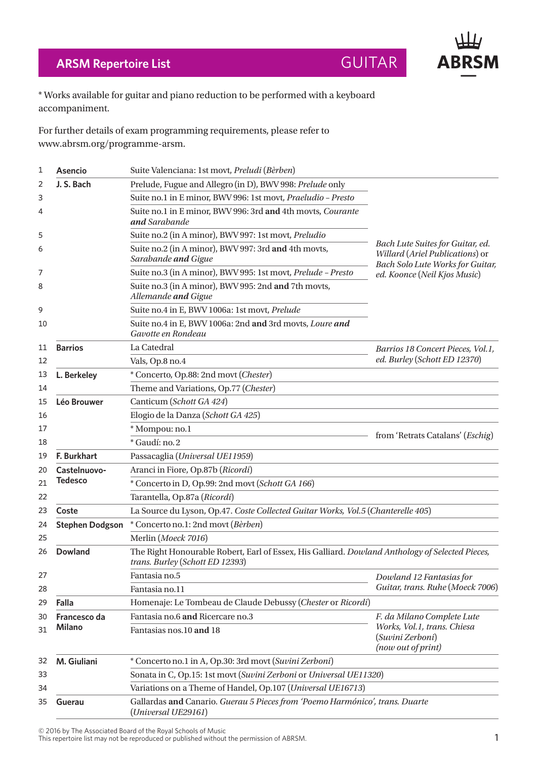## **ARSM Repertoire List GUITAR**

**ABRSM** 

\* Works available for guitar and piano reduction to be performed with a keyboard accompaniment.

For further details of exam programming requirements, please refer to www.abrsm.org/programme-arsm.

| 1                                                                           | <b>Asencio</b>                                                                                                                                       | Suite Valenciana: 1st movt, Preludi (Bèrben)                                                        |                                                                                                                                         |  |
|-----------------------------------------------------------------------------|------------------------------------------------------------------------------------------------------------------------------------------------------|-----------------------------------------------------------------------------------------------------|-----------------------------------------------------------------------------------------------------------------------------------------|--|
| 2                                                                           | J. S. Bach                                                                                                                                           | Prelude, Fugue and Allegro (in D), BWV 998: Prelude only                                            |                                                                                                                                         |  |
| 3                                                                           |                                                                                                                                                      | Suite no.1 in E minor, BWV 996: 1st movt, Praeludio - Presto                                        |                                                                                                                                         |  |
| 4                                                                           |                                                                                                                                                      | Suite no.1 in E minor, BWV 996: 3rd and 4th movts, Courante<br>and Sarabande                        |                                                                                                                                         |  |
| 5                                                                           |                                                                                                                                                      | Suite no.2 (in A minor), BWV 997: 1st movt, Preludio                                                | Bach Lute Suites for Guitar, ed.<br>Willard (Ariel Publications) or<br>Bach Solo Lute Works for Guitar,<br>ed. Koonce (Neil Kjos Music) |  |
| 6                                                                           |                                                                                                                                                      | Suite no.2 (in A minor), BWV 997: 3rd and 4th movts,<br>Sarabande and Gigue                         |                                                                                                                                         |  |
| 7                                                                           |                                                                                                                                                      | Suite no.3 (in A minor), BWV 995: 1st movt, Prelude - Presto                                        |                                                                                                                                         |  |
| 8                                                                           |                                                                                                                                                      | Suite no.3 (in A minor), BWV 995: 2nd and 7th movts,<br>Allemande and Gigue                         |                                                                                                                                         |  |
| 9                                                                           |                                                                                                                                                      | Suite no.4 in E, BWV 1006a: 1st movt, Prelude                                                       |                                                                                                                                         |  |
| 10                                                                          |                                                                                                                                                      | Suite no.4 in E, BWV 1006a: 2nd and 3rd movts, Loure and<br>Gavotte en Rondeau                      |                                                                                                                                         |  |
| 11                                                                          | <b>Barrios</b>                                                                                                                                       | La Catedral                                                                                         | Barrios 18 Concert Pieces, Vol.1,                                                                                                       |  |
| 12                                                                          |                                                                                                                                                      | Vals, Op.8 no.4                                                                                     | ed. Burley (Schott ED 12370)                                                                                                            |  |
| 13                                                                          | L. Berkeley                                                                                                                                          | * Concerto, Op.88: 2nd movt (Chester)                                                               |                                                                                                                                         |  |
| 14                                                                          |                                                                                                                                                      | Theme and Variations, Op.77 (Chester)                                                               |                                                                                                                                         |  |
| 15                                                                          | Léo Brouwer                                                                                                                                          | Canticum (Schott GA 424)                                                                            |                                                                                                                                         |  |
| 16                                                                          |                                                                                                                                                      | Elogio de la Danza (Schott GA 425)                                                                  |                                                                                                                                         |  |
| 17                                                                          |                                                                                                                                                      | * Mompou: no.1                                                                                      | from 'Retrats Catalans' (Eschig)                                                                                                        |  |
| 18                                                                          |                                                                                                                                                      | * Gaudí: no. 2                                                                                      |                                                                                                                                         |  |
| 19                                                                          | F. Burkhart                                                                                                                                          | Passacaglia (Universal UE11959)                                                                     |                                                                                                                                         |  |
| 20                                                                          | Castelnuovo-                                                                                                                                         | Aranci in Fiore, Op.87b (Ricordi)                                                                   |                                                                                                                                         |  |
| 21                                                                          | <b>Tedesco</b>                                                                                                                                       | * Concerto in D, Op.99: 2nd movt (Schott GA 166)                                                    |                                                                                                                                         |  |
| 22                                                                          |                                                                                                                                                      | Tarantella, Op.87a (Ricordi)                                                                        |                                                                                                                                         |  |
| 23                                                                          | Coste                                                                                                                                                | La Source du Lyson, Op.47. Coste Collected Guitar Works, Vol.5 (Chanterelle 405)                    |                                                                                                                                         |  |
| 24                                                                          | <b>Stephen Dodgson</b>                                                                                                                               | * Concerto no.1: 2nd movt (Bèrben)                                                                  |                                                                                                                                         |  |
| 25                                                                          | Merlin (Moeck 7016)                                                                                                                                  |                                                                                                     |                                                                                                                                         |  |
| 26                                                                          | The Right Honourable Robert, Earl of Essex, His Galliard. Dowland Anthology of Selected Pieces,<br><b>Dowland</b><br>trans. Burley (Schott ED 12393) |                                                                                                     |                                                                                                                                         |  |
| 27                                                                          |                                                                                                                                                      | Fantasia no.5                                                                                       | Dowland 12 Fantasias for                                                                                                                |  |
| 28                                                                          |                                                                                                                                                      | Fantasia no.11                                                                                      | Guitar, trans. Ruhe (Moeck 7006)                                                                                                        |  |
| 29                                                                          | Falla                                                                                                                                                | Homenaje: Le Tombeau de Claude Debussy (Chester or Ricordi)                                         |                                                                                                                                         |  |
| 30                                                                          | Francesco da<br>Milano                                                                                                                               | Fantasia no.6 and Ricercare no.3                                                                    | F. da Milano Complete Lute<br>Works, Vol.1, trans. Chiesa<br>(Suvini Zerboni)<br>(now out of print)                                     |  |
| 31                                                                          |                                                                                                                                                      | Fantasias nos.10 and 18                                                                             |                                                                                                                                         |  |
| M. Giuliani<br>* Concerto no.1 in A, Op.30: 3rd movt (Suvini Zerboni)<br>32 |                                                                                                                                                      |                                                                                                     |                                                                                                                                         |  |
| 33                                                                          |                                                                                                                                                      | Sonata in C, Op.15: 1st movt (Suvini Zerboni or Universal UE11320)                                  |                                                                                                                                         |  |
| 34                                                                          | Variations on a Theme of Handel, Op.107 (Universal UE16713)                                                                                          |                                                                                                     |                                                                                                                                         |  |
| 35                                                                          | Guerau                                                                                                                                               | Gallardas and Canario. Guerau 5 Pieces from 'Poemo Harmónico', trans. Duarte<br>(Universal UE29161) |                                                                                                                                         |  |

© 2016 by The Associated Board of the Royal Schools of Music

 $\bullet$  2010 by The Associated board of the Noyal Schools of Music<br>This repertoire list may not be reproduced or published without the permission of ABRSM.